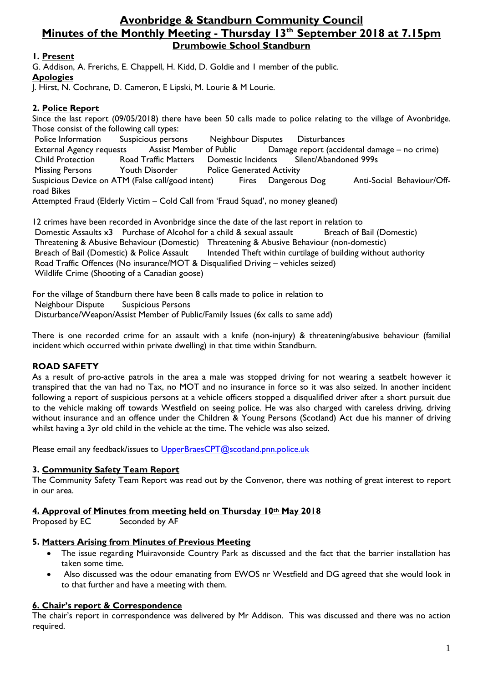# **Avonbridge & Standburn Community Council Minutes of the Monthly Meeting - Thursday 13th September 2018 at 7.15pm Drumbowie School Standburn**

# **1. Present**

G. Addison, A. Frerichs, E. Chappell, H. Kidd, D. Goldie and 1 member of the public. **Apologies**

J. Hirst, N. Cochrane, D. Cameron, E Lipski, M. Lourie & M Lourie.

# **2. Police Report**

Since the last report (09/05/2018) there have been 50 calls made to police relating to the village of Avonbridge. Those consist of the following call types: Police Information Suspicious persons Neighbour Disputes Disturbances External Agency requests Assist Member of Public Damage report (accidental damage – no crime) Child Protection Road Traffic Matters Domestic Incidents Silent/Abandoned 999s Missing Persons Youth Disorder Police Generated Activity Suspicious Device on ATM (False call/good intent) Fires Dangerous Dog Anti-Social Behaviour/Offroad Bikes Attempted Fraud (Elderly Victim – Cold Call from 'Fraud Squad', no money gleaned)

12 crimes have been recorded in Avonbridge since the date of the last report in relation to Domestic Assaults x3 Purchase of Alcohol for a child & sexual assault Breach of Bail (Domestic) Threatening & Abusive Behaviour (Domestic) Threatening & Abusive Behaviour (non-domestic) Breach of Bail (Domestic) & Police Assault Intended Theft within curtilage of building without authority Road Traffic Offences (No insurance/MOT & Disqualified Driving – vehicles seized) Wildlife Crime (Shooting of a Canadian goose)

For the village of Standburn there have been 8 calls made to police in relation to Neighbour Dispute Suspicious Persons Disturbance/Weapon/Assist Member of Public/Family Issues (6x calls to same add)

There is one recorded crime for an assault with a knife (non-injury) & threatening/abusive behaviour (familial incident which occurred within private dwelling) in that time within Standburn.

# **ROAD SAFETY**

As a result of pro-active patrols in the area a male was stopped driving for not wearing a seatbelt however it transpired that the van had no Tax, no MOT and no insurance in force so it was also seized. In another incident following a report of suspicious persons at a vehicle officers stopped a disqualified driver after a short pursuit due to the vehicle making off towards Westfield on seeing police. He was also charged with careless driving, driving without insurance and an offence under the Children & Young Persons (Scotland) Act due his manner of driving whilst having a 3yr old child in the vehicle at the time. The vehicle was also seized.

Please email any feedback/issues to [UpperBraesCPT@scotland.pnn.police.uk](mailto:UpperBraesCPT@scotland.pnn.police.uk)

# **3. Community Safety Team Report**

The Community Safety Team Report was read out by the Convenor, there was nothing of great interest to report in our area.

# **4. Approval of Minutes from meeting held on Thursday 10th May 2018**

Seconded by AF

# **5. Matters Arising from Minutes of Previous Meeting**

- The issue regarding Muiravonside Country Park as discussed and the fact that the barrier installation has taken some time.
- Also discussed was the odour emanating from EWOS nr Westfield and DG agreed that she would look in to that further and have a meeting with them.

# **6. Chair's report & Correspondence**

The chair's report in correspondence was delivered by Mr Addison. This was discussed and there was no action required.